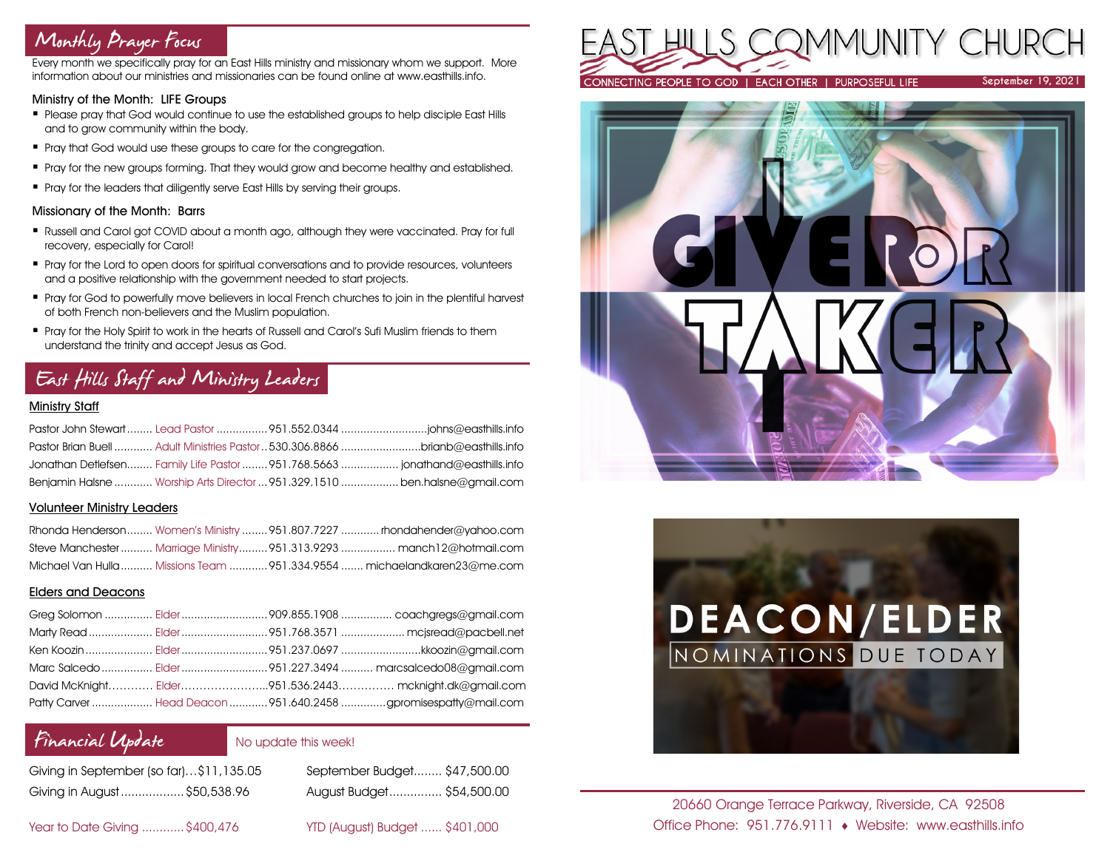## Monthly Prayer Focus

Every month we specifically pray for an East Hills ministry and missionary whom we support. More information about our ministries and missionaries can be found online at www.easthills.info.

#### Ministry of the Month: LIFE Groups

- Please pray that God would continue to use the established groups to help disciple East Hills and to grow community within the body.
- **•** Pray that God would use these groups to care for the congregation.
- Pray for the new groups forming. That they would grow and become healthy and established.
- **•** Pray for the leaders that diligently serve East Hills by serving their groups.

#### Missionary of the Month: Barrs

- Russell and Carol got COVID about a month ago, although they were vaccinated. Pray for full recovery, especially for Carol!
- Pray for the Lord to open doors for spiritual conversations and to provide resources, volunteers and a positive relationship with the government needed to start projects.
- Pray for God to powerfully move believers in local French churches to join in the plentiful harvest of both French non-believers and the Muslim population.
- **•** Pray for the Holy Spirit to work in the hearts of Russell and Carol's Sufi Muslim friends to them understand the trinity and accept Jesus as God.

## East Hills Staff and Ministry Leaders

### Ministry Staff

|  | Pastor Brian Buell  Adult Ministries Pastor 530.306.8866 brianb@easthills.info |
|--|--------------------------------------------------------------------------------|
|  | Jonathan Detlefsen Family Life Pastor 951.768.5663  jonathand@easthills.info   |
|  | Benjamin Halsne  Worship Arts Director  951,329,1510  ben.halsne@amail.com     |

#### Volunteer Ministry Leaders

|  | Rhonda Henderson Women's Ministry  951.807.7227  rhondahender@yahoo.com  |
|--|--------------------------------------------------------------------------|
|  | Steve Manchester  Marriage Ministry 951.313.9293  manch12@hotmail.com    |
|  | Michael Van Hulla  Missions Team  951.334.9554  michaelandkaren23@me.com |

### Elders and Deacons

|  | David McKnight Elder951.536.2443 mcknight.dk@gmail.com          |
|--|-----------------------------------------------------------------|
|  | Patty Carver  Head Deacon  951.640.2458 gpromisespatty@mail.com |

### Financial Update

### No update this week!

| Giving in September (so far)\$11,135.05 |  |
|-----------------------------------------|--|
| Giving in August  \$50,538.96           |  |

September Budget........ \$47,500.00 Giving in August..................\$50,538.96 August Budget............... \$54,500.00

Year to Date Giving ............\$400,476 YTD (August) Budget ...... \$401,000







20660 Orange Terrace Parkway, Riverside, CA 92508 Office Phone: 951.776.9111 Website: www.easthills.info